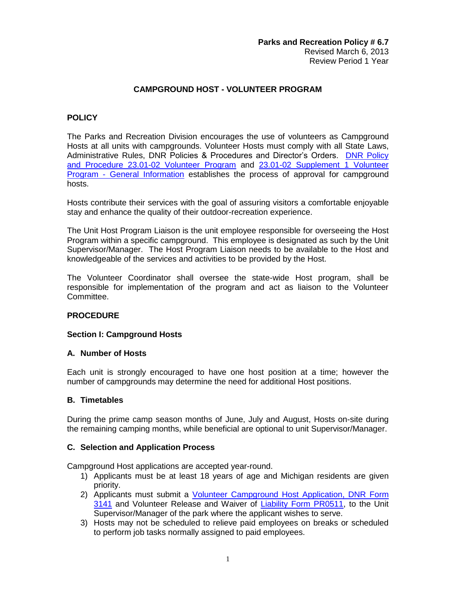## **CAMPGROUND HOST - VOLUNTEER PROGRAM**

#### **POLICY**

The Parks and Recreation Division encourages the use of volunteers as Campground Hosts at all units with campgrounds. Volunteer Hosts must comply with all State Laws, Administrative Rules, DNR Policies & Procedures and Director's Orders. [DNR Policy](http://dnrintranet.state.mi.us/pdfs/divisions/DNR_PolicyProcedures/23.01.01.htm)  [and Procedure 23.01-02 Volunteer Program](http://dnrintranet.state.mi.us/pdfs/divisions/DNR_PolicyProcedures/23.01.01.htm) and [23.01-02 Supplement 1 Volunteer](http://dnrintranet.state.mi.us/pdfs/divisions/DNR_PolicyProcedures/23.01.02.Suppl.1.htm)  Program - [General Information](http://dnrintranet.state.mi.us/pdfs/divisions/DNR_PolicyProcedures/23.01.02.Suppl.1.htm) establishes the process of approval for campground hosts.

Hosts contribute their services with the goal of assuring visitors a comfortable enjoyable stay and enhance the quality of their outdoor-recreation experience.

The Unit Host Program Liaison is the unit employee responsible for overseeing the Host Program within a specific campground. This employee is designated as such by the Unit Supervisor/Manager. The Host Program Liaison needs to be available to the Host and knowledgeable of the services and activities to be provided by the Host.

The Volunteer Coordinator shall oversee the state-wide Host program, shall be responsible for implementation of the program and act as liaison to the Volunteer Committee.

## **PROCEDURE**

## **Section I: Campground Hosts**

#### **A. Number of Hosts**

Each unit is strongly encouraged to have one host position at a time; however the number of campgrounds may determine the need for additional Host positions.

#### **B. Timetables**

During the prime camp season months of June, July and August, Hosts on-site during the remaining camping months, while beneficial are optional to unit Supervisor/Manager.

#### **C. Selection and Application Process**

Campground Host applications are accepted year-round.

- 1) Applicants must be at least 18 years of age and Michigan residents are given priority.
- 2) Applicants must submit a [Volunteer Campground Host Application, DNR Form](http://dnrintranet/pdfs/divisions/DNR_FormsLists/ALL_DNR_Current_Forms_In_No_Order.html)  [3141](http://dnrintranet/pdfs/divisions/DNR_FormsLists/ALL_DNR_Current_Forms_In_No_Order.html) and Volunteer Release and Waiver of [Liability Form PR0511,](http://dnrintranet/pdfs/divisions/DNR_FormsLists/ALL_DNR_Current_Forms_In_No_Order.html) to the Unit Supervisor/Manager of the park where the applicant wishes to serve.
- 3) Hosts may not be scheduled to relieve paid employees on breaks or scheduled to perform job tasks normally assigned to paid employees.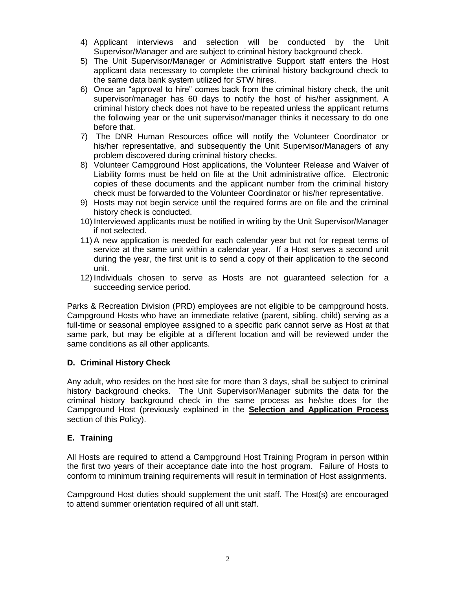- 4) Applicant interviews and selection will be conducted by the Unit Supervisor/Manager and are subject to criminal history background check.
- 5) The Unit Supervisor/Manager or Administrative Support staff enters the Host applicant data necessary to complete the criminal history background check to the same data bank system utilized for STW hires.
- 6) Once an "approval to hire" comes back from the criminal history check, the unit supervisor/manager has 60 days to notify the host of his/her assignment. A criminal history check does not have to be repeated unless the applicant returns the following year or the unit supervisor/manager thinks it necessary to do one before that.
- 7) The DNR Human Resources office will notify the Volunteer Coordinator or his/her representative, and subsequently the Unit Supervisor/Managers of any problem discovered during criminal history checks.
- 8) Volunteer Campground Host applications, the Volunteer Release and Waiver of Liability forms must be held on file at the Unit administrative office. Electronic copies of these documents and the applicant number from the criminal history check must be forwarded to the Volunteer Coordinator or his/her representative.
- 9) Hosts may not begin service until the required forms are on file and the criminal history check is conducted.
- 10) Interviewed applicants must be notified in writing by the Unit Supervisor/Manager if not selected.
- 11) A new application is needed for each calendar year but not for repeat terms of service at the same unit within a calendar year. If a Host serves a second unit during the year, the first unit is to send a copy of their application to the second unit.
- 12) Individuals chosen to serve as Hosts are not guaranteed selection for a succeeding service period.

Parks & Recreation Division (PRD) employees are not eligible to be campground hosts. Campground Hosts who have an immediate relative (parent, sibling, child) serving as a full-time or seasonal employee assigned to a specific park cannot serve as Host at that same park, but may be eligible at a different location and will be reviewed under the same conditions as all other applicants.

# **D. Criminal History Check**

Any adult, who resides on the host site for more than 3 days, shall be subject to criminal history background checks. The Unit Supervisor/Manager submits the data for the criminal history background check in the same process as he/she does for the Campground Host (previously explained in the **Selection and Application Process** section of this Policy).

## **E. Training**

All Hosts are required to attend a Campground Host Training Program in person within the first two years of their acceptance date into the host program. Failure of Hosts to conform to minimum training requirements will result in termination of Host assignments.

Campground Host duties should supplement the unit staff. The Host(s) are encouraged to attend summer orientation required of all unit staff.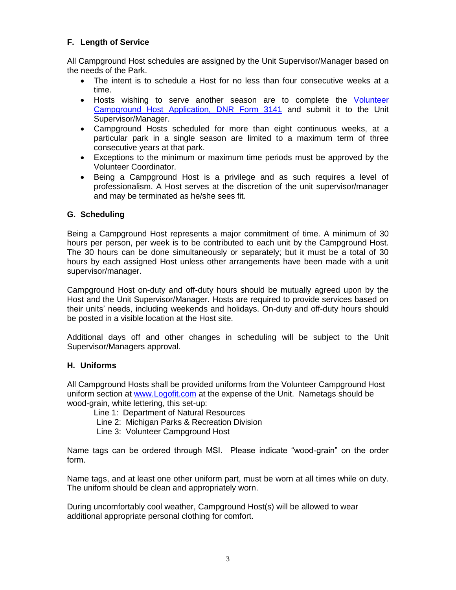# **F. Length of Service**

All Campground Host schedules are assigned by the Unit Supervisor/Manager based on the needs of the Park.

- The intent is to schedule a Host for no less than four consecutive weeks at a time.
- Hosts wishing to serve another season are to complete the [Volunteer](http://dnrintranet/pdfs/divisions/DNR_FormsLists/ALL_DNR_Current_Forms_In_No_Order.html)  [Campground Host Application, DNR Form 3141](http://dnrintranet/pdfs/divisions/DNR_FormsLists/ALL_DNR_Current_Forms_In_No_Order.html) and submit it to the Unit Supervisor/Manager.
- Campground Hosts scheduled for more than eight continuous weeks, at a particular park in a single season are limited to a maximum term of three consecutive years at that park.
- Exceptions to the minimum or maximum time periods must be approved by the Volunteer Coordinator.
- Being a Campground Host is a privilege and as such requires a level of professionalism. A Host serves at the discretion of the unit supervisor/manager and may be terminated as he/she sees fit.

## **G. Scheduling**

Being a Campground Host represents a major commitment of time. A minimum of 30 hours per person, per week is to be contributed to each unit by the Campground Host. The 30 hours can be done simultaneously or separately; but it must be a total of 30 hours by each assigned Host unless other arrangements have been made with a unit supervisor/manager.

Campground Host on-duty and off-duty hours should be mutually agreed upon by the Host and the Unit Supervisor/Manager. Hosts are required to provide services based on their units' needs, including weekends and holidays. On-duty and off-duty hours should be posted in a visible location at the Host site.

Additional days off and other changes in scheduling will be subject to the Unit Supervisor/Managers approval.

## **H. Uniforms**

All Campground Hosts shall be provided uniforms from the Volunteer Campground Host uniform section at [www.Logofit.com](http://www.logofit.com/) at the expense of the Unit. Nametags should be wood-grain, white lettering, this set-up:

- Line 1: Department of Natural Resources
- Line 2: Michigan Parks & Recreation Division
- Line 3: Volunteer Campground Host

Name tags can be ordered through MSI. Please indicate "wood-grain" on the order form.

Name tags, and at least one other uniform part, must be worn at all times while on duty. The uniform should be clean and appropriately worn.

During uncomfortably cool weather, Campground Host(s) will be allowed to wear additional appropriate personal clothing for comfort.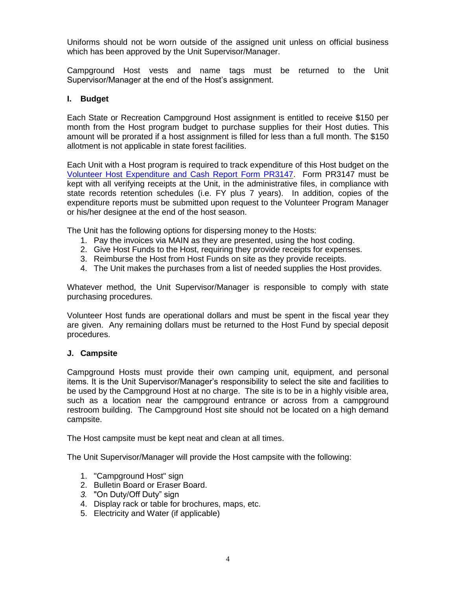Uniforms should not be worn outside of the assigned unit unless on official business which has been approved by the Unit Supervisor/Manager.

Campground Host vests and name tags must be returned to the Unit Supervisor/Manager at the end of the Host's assignment.

## **I. Budget**

Each State or Recreation Campground Host assignment is entitled to receive \$150 per month from the Host program budget to purchase supplies for their Host duties. This amount will be prorated if a host assignment is filled for less than a full month. The \$150 allotment is not applicable in state forest facilities.

Each Unit with a Host program is required to track expenditure of this Host budget on the [Volunteer Host Expenditure and Cash Report Form PR3147.](http://dnrintranet/pdfs/divisions/DNR_FormsLists/ALL_DNR_Current_Forms_In_No_Order.html) Form PR3147 must be kept with all verifying receipts at the Unit, in the administrative files, in compliance with state records retention schedules (i.e. FY plus 7 years). In addition, copies of the expenditure reports must be submitted upon request to the Volunteer Program Manager or his/her designee at the end of the host season.

The Unit has the following options for dispersing money to the Hosts:

- 1. Pay the invoices via MAIN as they are presented, using the host coding.
- 2. Give Host Funds to the Host, requiring they provide receipts for expenses.
- 3. Reimburse the Host from Host Funds on site as they provide receipts.
- 4. The Unit makes the purchases from a list of needed supplies the Host provides.

Whatever method, the Unit Supervisor/Manager is responsible to comply with state purchasing procedures.

Volunteer Host funds are operational dollars and must be spent in the fiscal year they are given. Any remaining dollars must be returned to the Host Fund by special deposit procedures.

#### **J. Campsite**

Campground Hosts must provide their own camping unit, equipment, and personal items. It is the Unit Supervisor/Manager's responsibility to select the site and facilities to be used by the Campground Host at no charge. The site is to be in a highly visible area, such as a location near the campground entrance or across from a campground restroom building. The Campground Host site should not be located on a high demand campsite.

The Host campsite must be kept neat and clean at all times.

The Unit Supervisor/Manager will provide the Host campsite with the following:

- 1. "Campground Host" sign
- 2. Bulletin Board or Eraser Board.
- *3.* "On Duty/Off Duty" sign
- 4. Display rack or table for brochures, maps, etc.
- 5. Electricity and Water (if applicable)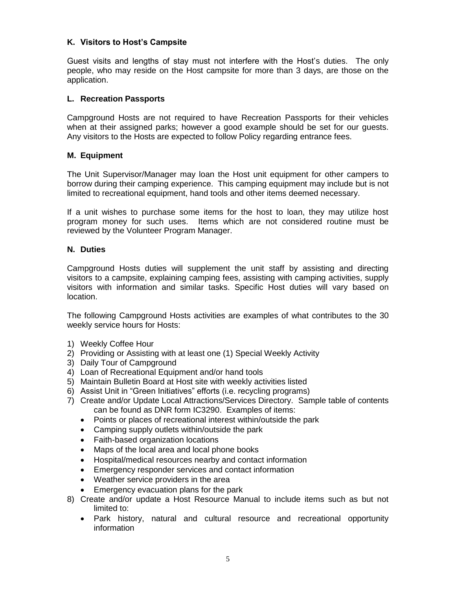## **K. Visitors to Host's Campsite**

Guest visits and lengths of stay must not interfere with the Host's duties. The only people, who may reside on the Host campsite for more than 3 days, are those on the application.

#### **L. Recreation Passports**

Campground Hosts are not required to have Recreation Passports for their vehicles when at their assigned parks; however a good example should be set for our guests. Any visitors to the Hosts are expected to follow Policy regarding entrance fees.

#### **M. Equipment**

The Unit Supervisor/Manager may loan the Host unit equipment for other campers to borrow during their camping experience. This camping equipment may include but is not limited to recreational equipment, hand tools and other items deemed necessary.

If a unit wishes to purchase some items for the host to loan, they may utilize host program money for such uses. Items which are not considered routine must be reviewed by the Volunteer Program Manager.

#### **N. Duties**

Campground Hosts duties will supplement the unit staff by assisting and directing visitors to a campsite, explaining camping fees, assisting with camping activities, supply visitors with information and similar tasks. Specific Host duties will vary based on location.

The following Campground Hosts activities are examples of what contributes to the 30 weekly service hours for Hosts:

- 1) Weekly Coffee Hour
- 2) Providing or Assisting with at least one (1) Special Weekly Activity
- 3) Daily Tour of Campground
- 4) Loan of Recreational Equipment and/or hand tools
- 5) Maintain Bulletin Board at Host site with weekly activities listed
- 6) Assist Unit in "Green Initiatives" efforts (i.e. recycling programs)
- 7) Create and/or Update Local Attractions/Services Directory. Sample table of contents can be found as DNR form IC3290. Examples of items:
	- Points or places of recreational interest within/outside the park
	- Camping supply outlets within/outside the park
	- Faith-based organization locations
	- Maps of the local area and local phone books
	- Hospital/medical resources nearby and contact information
	- Emergency responder services and contact information
	- Weather service providers in the area
	- Emergency evacuation plans for the park
- 8) Create and/or update a Host Resource Manual to include items such as but not limited to:
	- Park history, natural and cultural resource and recreational opportunity information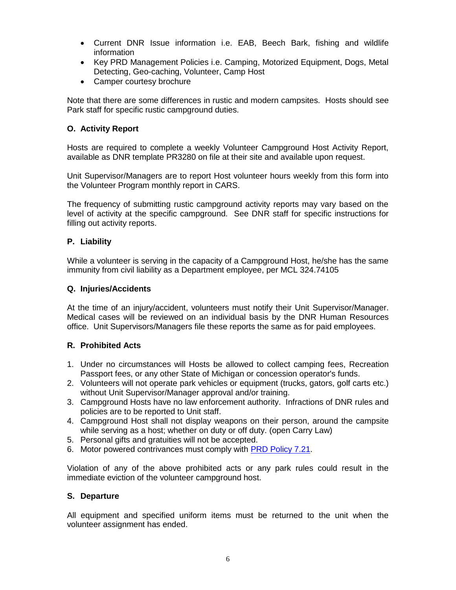- Current DNR Issue information i.e. EAB, Beech Bark, fishing and wildlife information
- Key PRD Management Policies i.e. Camping, Motorized Equipment, Dogs, Metal Detecting, Geo-caching, Volunteer, Camp Host
- Camper courtesy brochure

Note that there are some differences in rustic and modern campsites. Hosts should see Park staff for specific rustic campground duties.

# **O. Activity Report**

Hosts are required to complete a weekly Volunteer Campground Host Activity Report, available as DNR template PR3280 on file at their site and available upon request.

Unit Supervisor/Managers are to report Host volunteer hours weekly from this form into the Volunteer Program monthly report in CARS.

The frequency of submitting rustic campground activity reports may vary based on the level of activity at the specific campground. See DNR staff for specific instructions for filling out activity reports.

## **P. Liability**

While a volunteer is serving in the capacity of a Campground Host, he/she has the same immunity from civil liability as a Department employee, per MCL 324.74105

#### **Q. Injuries/Accidents**

At the time of an injury/accident, volunteers must notify their Unit Supervisor/Manager. Medical cases will be reviewed on an individual basis by the DNR Human Resources office. Unit Supervisors/Managers file these reports the same as for paid employees.

## **R. Prohibited Acts**

- 1. Under no circumstances will Hosts be allowed to collect camping fees, Recreation Passport fees, or any other State of Michigan or concession operator's funds.
- 2. Volunteers will not operate park vehicles or equipment (trucks, gators, golf carts etc.) without Unit Supervisor/Manager approval and/or training.
- 3. Campground Hosts have no law enforcement authority. Infractions of DNR rules and policies are to be reported to Unit staff.
- 4. Campground Host shall not display weapons on their person, around the campsite while serving as a host; whether on duty or off duty. (open Carry Law)
- 5. Personal gifts and gratuities will not be accepted.
- 6. Motor powered contrivances must comply with PRD [Policy 7.21.](http://connect.michigan.gov/portal/site/dnr/menuitem.bcc94c104ba89359c83fcbe512b890a0/)

Violation of any of the above prohibited acts or any park rules could result in the immediate eviction of the volunteer campground host.

## **S. Departure**

All equipment and specified uniform items must be returned to the unit when the volunteer assignment has ended.